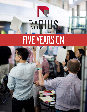# RAPIUS FIVE YEARS ON

N

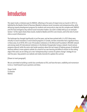# **Introduction**

This report marks a milestone year for RADIUS, reflecting on five years of impact since our launch in 2013. Established by the Beedie School of Business (Beedie) to advance social innovation and entrepreneurship, while delivering capacity development programs for students and community to step into this complex work, RADIUS and SFU have emerged as key national social innovation leaders. Our work is widely held up as an exemplar - Section 1 of this report shares these results, tracked to Beedie and SFU's core mission, and to the role of universities as social infrastructure.

The landscape has changed significantly in just five years, and we have evolved with it. In 2013 there were virtually no social innovation or social venture programs in Canada, and few universities had a significant focus in these areas. As of 2018, SFU is one 18 Canadian institutions in the McConnell Foundation's RECODE network and among nearly 50 international institutions in the Ashoka Changemaker Campus network. Social venture programs abound, while the sector asks harder questions about the real impact of helping groups of individual ventures without a more systemic outlook. As a result of our own learning and efforts to remain on the cutting edge of this work, we are rolling out a new "entrepreneurship in service of systems change" strategy for our next five years. Stay posted to our website and media channels for updates this summer.

[Shawn to insert paragraph]

We are committed to building a world class contribution at SFU, and have the team, credibility and momentum to do so. I look forward to your questions and ideas.

Shawn Smith Co-Director RADIUS

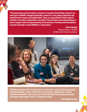**"The University social innovation ecosystem in Canada is flourishing; thanks in no small part to RADIUS' thought leadership, vision for a 21st century education and commitment to impact and collaboration. They are unparalleled in their scope of activities, diversity of stakeholders, breadth of interventions and understanding of how to support social entrepreneurship and innovation. The McConnell Foundation is proud and lucky to count RADIUS as a key partner."**

> **Chad Lubelsky**  Program Director - RECODE JW McConnell Family Foundation



**"RADIUS changed my life. It came to me at a time when I was stuck both personally and professionally. I never realized the power of goals, collaboration, and likeminded communities. I feel ready, and set with the right tools to grow personally and begin a meaningful career. I no longer feel stuck."** 

**2016 RADIUS Fellow**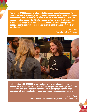**"We've seen RADIUS emerge as a key part of Vancouver's social change ecosystem, and an extension of SFU's longstanding commitment as an inclusive and community minded institution. I've come to a number of RADIUS events and stayed up to date on programs that support the City of Vancouver's efforts to wrestle with a number of complex challenges. It's critical that our academic institutions help provide just this sort of community engaged infrastructure, and I commend SFU for their contributions."**

> **Andrea Reimer**  Councillor - City of Vancouver



**"Collaborating with RADIUS is always a pleasure — we learn to push our own boundaries, challenge our values, and shift our perspectives. And we get stuff done! Thanks for being such great partners in building student programs in Ecuador, innovation lab programming for refugees and exploring so many other big ideas."** 

> **Shaheen Nanji** Director International Community Engagement - SFU International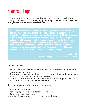# 5 Years of Impact

RADIUS has built a clear track record in advancing the goals of SFU and the Beedie School of Business, reflecting the mission and vision of *the leading engaged university* and a *business school committed to developing innovative and socially responsible leaders.* 

**"In five years, RADIUS has amplified the spirit of high impact innovation running through SFU, created many replicable models for engaging communities for sustainable social good, and helped establish SFU has a recognized leader in positive change through entrepreneurship and innovation. They have created unique, replicable, highly-engaged educational experiences awakening the changemaker within our students, created meaningful research opportunities that benefit our community, supported now-thriving social ventures and become a recognized magnetic force powering open innovation within our ecosystem. Building on this momentum, I'm excited to see what the next five years will bring!"** 

**Sarah Lubik** 

In our first 5 years, RADIUS has...

- Developed and delivered high impact, replicable education and training programs that are responsive to student and community needs;
- Engaged citizens and community stakeholders in open and collaborative innovation, developing solutions, building capacity and contributing critical social infrastructure;
- Generated and shared new models and knowledge widely with practitioners and problem solvers; and
- Built a powerful hub and network of social innovation activity and actors.

This section shares a snapshot of our work to date organized around...

- 1. Students, Education and Training
- 2. Community engagement, open innovation and social infrastructure,
- 3. Generating and mobilizing knowledge,
- 4. Advancing SFU as a leading university in social innovation and changemaking.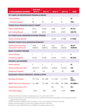| <b>5 YEAR AGGREGATE OUTCOMES</b>                              | 2013-14&<br>2014-15 | 2015-16            | 2016-17           | 2017-18              | <b>TOTAL</b>        |  |
|---------------------------------------------------------------|---------------------|--------------------|-------------------|----------------------|---------------------|--|
| SFU CHANGE LAB UNDERGRADUATE PROGRAM (& SIMILAR) <sup>1</sup> |                     |                    |                   |                      |                     |  |
| <b>Cohorts Delivered</b>                                      | 4                   | 1                  | $\overline{2}$    | $\mathfrak{Z}$       | 10                  |  |
| ~Participants Engaged                                         | 88                  | 20                 | 32                | 47                   | $180 +$             |  |
| STUDENT SOCIAL INNOVATION PROJECTS FUNDED <sup>2</sup>        |                     |                    |                   |                      |                     |  |
| <b>Projects Funded (Pitches)</b>                              | 8(21)               | 10(30)             | 9(30)             | 15(47)               | 39(73)              |  |
| <b>Total Funding Allocated</b>                                | \$5,000             | \$6320             | \$8130            | \$13075              | \$28,725            |  |
| SFU STUDENT SOCIAL INNOVATION ACTIVATORS PROGRAM              |                     |                    |                   |                      |                     |  |
| <b>Positions (Students Reached)</b>                           |                     |                    | 3(450)            | 6(1000)              | 9(1450)             |  |
| <b>GRADUATE STUDENT SOCIAL INNOVATION INTERNSHIPS</b>         |                     |                    |                   |                      |                     |  |
| LEDlab/Ecotrust (internships<br>measured in 4 month units)    | 310(8)<br>students) | 12(8)<br>students) | 10(5<br>students) | 6(3)<br>students)    | 38 (24<br>students) |  |
| <b>RADIUS FELLOWSHIP PROGRAM</b>                              |                     |                    |                   |                      |                     |  |
| <b>Cohorts Delivered</b>                                      | 1                   | 1                  | 1                 | 1                    | 4                   |  |
| Participants (vs applied)                                     | 20(76)              | 22(46)             | 22(69)            | 16 <sup>4</sup> (51) | 80 (245)            |  |
| <b>VENTURES &amp; LAB PROGRAMS<sup>5</sup></b>                |                     |                    |                   |                      |                     |  |
| <b>Cohorts Delivered</b>                                      | 9                   | 5                  | $\overline{4}$    | 5                    | 23                  |  |
| <b>Ventures (Early/Growth Stage)</b>                          | 65(53/12)           | 36(29/7)           | 24 (24/0)         | 31(25/6)             | 156                 |  |
| <b>Entrepreneurs Impacted</b>                                 | ~100                | ~54                | ~236              | ~145                 | ~235                |  |
| <b>ENGAGEMENT THROUGH WORKSHOPS, TRAINING &amp; EVENTS</b>    |                     |                    |                   |                      |                     |  |
| <b>Workshops (Participants)</b>                               | $15 (-210)$         | $10 (-200)$        | $11 (-250)$       | $13 (-275)$          | $45+$<br>$(900+)$   |  |
| <b>RADIUS Public Events (Participants)</b>                    | $16 (-800)$         | $12\ (-500)$       | $14 (-1200)$      | $18 (-3000)$         | $60(5000+)$         |  |
| <b>Hosted Partner Events at CCIC</b>                          |                     |                    | $20+$             | $50+$                | $70+$               |  |
| <b>Total People Engaged</b>                                   | ~1010               | ~100               | ~1450             | ~1.3275              | 6000+               |  |

1 Includes Social Venture Accelerator undergraduate course in summer 2013 & 2014

<sup>2</sup> Includes the SFU Student Social Innovation Seed Fund, co-delivered with Embark Sustainability, and SFU Change Lab student project funding post program

<sup>3</sup> 10 MBA internships completed by 2014, pre-LEDlab. An intern may complete two 4-month internships.

<sup>4</sup> Indicates intentional reduction in cohort size for deeper connections and impact.

<sup>5</sup> These figures combine RADIUS Ventures and RADIUS Lab incubation cohorts to date.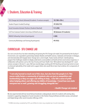# 1. Students, Education & Training

| SFU Change Lab Cohorts Delivered (# students / # venture concepts) | $10(180+/50+)$           |
|--------------------------------------------------------------------|--------------------------|
| Student Projects Funded (Funding)                                  | 39 (\$28,725)            |
| Social Innovation Activator Positions (Students Reached)           | 9(1, 450)                |
| Full Time Graduate Student internships (LEDlab/Ecotrust)           | 38 (between 24 students) |
| RADIUS Fellowship Cohorts (# participants)                         | 4(80)                    |
| Community Workshops and Training (# participants)                  | 49 (935)                 |

#### CURRICULAR - SFU CHANGE LAB

Our core curricular focus has been stewarding and growing the SFU Change Lab model, first pioneered by the Faculty of Environment, and expanded to partnerships between Beedie and Health Sciences, CityStudio and Semester in Dialogue, and internationally with Impaqto Quito. Change Lab is a term length, 'heads, hands and heart', interdisciplinary program that challenges students to deeply understand a social problem and build and test social venture responses, in collaboration with partners such as the City of Surrey and Fraser Health. Over 180 students have developed 50+ social venture concepts in the last 5+ years. We have recently begun working with SFU Teaching and Learning Centre to invest in enhanced replicability of the model and to support others who would like to learn how to deliver all or components of the model.

**"I not only learned so much out of this class, but also from the people in it. This course really fosters a community of students who are just as competitive and hardworking as they are eager and willing to help...I also felt a sense of pride when helping others and offering my tidbits of knowledge. I loved how non-static everyone was as well, growing and struggling alongside me."** 

**~Health Change Lab student**

We also experimented with two Social Venture Accelerator undergraduate cohorts for students with existing ideas, invested in supporting integration of social innovation in the Charles Chang Certificate and other courses, and advised and helped design other social innovation offerings at SFU.

<sup>6</sup>10 MBA internships completed by 2014, pre-LEDlab. An intern may complete two 4-month internships.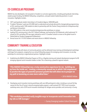#### CO-CURRICULAR PROGRAMS

RADIUS has also developed a rich ecosystem of student co-curricular opportunities, including paid graduate internships, student project funding, the RADIUS Fellowship, competitions, and paid student leadership positions in social innovation. Highlights include...

- 38 FT, paid graduate student internships to 24 students (Approx. \$400,000 paid).
- 9 student "Activators", paid over \$25,000 total to understand and activate demand for changemaking programming at SFU, reaching nearly 1500 students to date (in partnership with the Charles Chang Institute for Entrepreneurship and Venture Connection).
- Over 300 students in free social innovation/entrepreneurship workshops on campus
- Leading SFU's winning entry in the 2017 Oxford Challenge, and hosting the 2018 Nationals, which welcomed 14 schools to SFU, and where SFU was again selected as one of 3 Canadian schools to move on the global round in Oxford (both w/ Student Engagement & Retention).
- Annual access for 5-10 SFU students and recent alumni in RADIUS Fellowship.

#### COMMUNITY TRAINING & EDUCATION

RADIUS works closely with dozens of community partners and has delivered many training and development workshops and longer form programs, ranging from our annual Fellowship program for emerging social innovators, to one-day workshops for community or organizational partners. Highlights include:

• Establishing the RADIUS Fellowship Program at SFU as a flagship training and network development program for 80 emerging regional social innovation leaders to date. This is becoming a powerful regional network.

**"[The RADIUS Fellowship] was a truly constructive experience for me - building me up from the inside out - creating a community around me in which I felt empowered to practice the types of powerful personal growth that will allow me to prosper on my path to becoming an even more radical doer."** 

~ 2016 RADIUS Fellow

• Developing social innovation training workshops with over 600 participants to date, including an annual full day session for the City of Surrey's internal emerging leader program, a well received 2017 DTES social innovation workshop series, and a 2018 social innovation workshops for refugee service providers and community in Surrey.

**"This workshop provided really tangible ways to incorporate social innovation into my role as CSR manager."** 

~ Surrey Emerging Leaders Cohort Participant

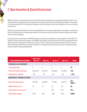### 2. Open Innovation & Social Infrastructure

RADIUS has been an important access point and hub for external organizations to engage with Beedie and SFU in proactive, solutions oriented ways. We are a responsive and dynamic centre for shared learning and problem solving, and a concrete example of SFU's commitment to being a critical contribution to the social infrastructure of our surrounding communities.

RADIUS has partnered with dozens of external stakeholders from community organizations, foundations, private sector partners and government to develop new models of community-university partnership, aimed at addressing complex socio-economic challenges.

Our primary avenues have been our RADIUS Ventures (including our development and management of the RBC First People's Enterprise Accelerator Program, and RADIUS Lab programs (primarily the Local Economic Development Lab to date, with several new programs launching in 2018), as well as a robust and accessible schedule of events and workshops. These two vehicles have now been combined in a new organizational structure focused on entrepreneurship in service of systems change going forward.

| <b>5 YEAR AGGREGATE OUTCOMES</b>               | 2013-14 &<br>2014-15 | 2015-16  | 2016-17  | 2017-18  | <b>TOTAL</b>      |
|------------------------------------------------|----------------------|----------|----------|----------|-------------------|
| <b>VENTURES &amp; LAB PROGRAMS<sup>5</sup></b> |                      |          |          |          |                   |
| <b>Cohorts Delivered</b>                       | 9                    | 5        | 4        | 5        | 23                |
| <b>Ventures (Early/Growth Stage)</b>           | 65(53/12)            | 36(29/7) | 24(24/0) | 31(25/6) | 156               |
| <b>Entrepreneurs Impacted</b>                  | $~1$ 90              | ~54      | ~236     | ~145     | ~235              |
| <b>WORKSHOPS, TRAINING &amp; EVENTS</b>        |                      |          |          |          |                   |
| <b>Workshops (Participants)</b>                | 15(210)              | 10(200)  | 11(250)  | 13(275)  | $45+$<br>$(900+)$ |
| <b>RADIUS Public Events</b>                    | 16                   | 12       | 14       | 18       | 60                |
| <b>Hosted Partner Events (CCIC)</b>            |                      |          | $20+$    | $50+$    | $70+$             |
| <b>Total People Engaged</b>                    | 1010                 | 700      | 1450     | 3275     | 6400+             |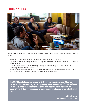#### RADIUS VENTURES



Regularly asked to advise others, RADIUS Ventures is seen as a leader in social venture incubation programs. Since 2013 we have...

- worked with 150+ social ventures (including the 11 concepts supported in the LEDlab) and
- supported 200+ founders, all exploring innovative responses to social, environmental and economic challenges in our communities
- partnered deeply through SFU's 'RBC First Peoples Enterprise Accelerator Program', establishing trusting relationships with First Nations partners
- delivered cohorts in Alert Bay working with Reconciliation Canada and with Sto:lo Community Futures, where we have also entered into a three year agreement to deliver multiple cohorts per year.

**"RADIUS' Slingshot program helped us distil our business to its core. When we started, we felt like we were just barely staying afloat. Coming out of it, we've found a focus on our business model's drivers and have become much more investmentready. Would definitely recommend to any entrepreneur looking to put wind in their sails."**

> **Michael Steele** Co-Founder - The Good Stuff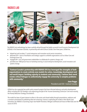#### RADIUS LAB



The RADIUS Lab methodology has been carefully refined through the highly successful Local Economic Development Lab (LEDlab) in the Downtown Eastside, in partnership with with Ecotrust Canada. Over three years, LEDlab has...

- helped test and incubate 11 social enterprises and innovative social service innovations,
- delivered 281+ hours of facilitation and strategic support to umbrella organizations such as Urban Core and Exchange Inner City,
- engaged 60+ civic and government stakeholders to collaborate for systemic change, and
- provided over 1000 person hours of workshop training in social enterprise development, social innovation and systems change.

**"Ecotrust Canada's partnership with RADIUS SFU has leveraged the strengths of both organizations to create entirely new models for action, knowledge development and real world impact. Building capacity in students and community, I believe their work creates critical linkages to authentically engage the university in complex problems with community."**

> **Jean Pogge** President and CEO - Ecotrust Canada

LEDlab has also supported two public policy research projects that have informed advocacy and policy development efforts including the CED Strategy's core organizing principle of the 'Income Generating Continuum' and more recently, the Poverty Reduction Strategy consultations.

The model has been of great interest to others in the sector and shared widely through presentations, webinars and a constant commitment to publishing what we're learning. Ecotrust is replicating the model in their North Coast Innovation Lab. RADIUS is launching major new Health Promotion, Refugee Livelihood and Future of Work labs over the course of 2018.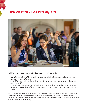## 3. Networks, Events & Community Engagement



In addition we have been an incredibly active site of engagement with community:

- hosting 60+ events for over 5500 people, including sold out gatherings for renowned speakers such as Adam Kahane and Daniela Papi-Thornton
- seeing 3500+ people utilize the Charles Chang Innovation Centre under our management since full operations begain in spring 2017
- collaborating with community to enable 70+ additional gatherings and events through our and Beedie spaces
- Maintaining an active and widely followed social media presence (over 5000 ppl across twitter, fb, instagram and newsletter).

RADIUS works with a wide variety of internal and external partners to create and deliver training, education and social innovation lab programs. Externally, we have worked with over 50 partners in government, foundation, business, community organizations, and various key social innovation and social change networks, including around specific areas of inquiry in RADIUS Lab programming.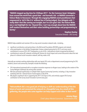**"RADIUS stepped up big time for C2UExpo 2017 - For the Common Good. Delegates from around the world had a great time - and learned a lot - as RADIUS convened a Failure Wake in Vancouver. Through this engaging RADIUS event practitioners feel empowered to 'tell it like it is' without fear of being judged. One delegate said: 'I really didn't feel like coming out tonight, but I'm sure glad I did. The Failure Wake was a real highlight for me.' Beyond this, I can't say enough about how the RADIUS staff conduct themselves and their value building partnerships and programming in Surrey."**

> **Stephen Dooley** Executive Director - SFU Surrey

RADIUS helps establish and maintain SFU as a key social innovation network node, including...

- significant contributions and partnerships in the McConnell Foundation RECODE program and network
- active participation in the Ashoka Changemaker Campus network going back to 2013, and more recent contributions to secure SFU's 2017 designation as one of 40+ international schools recognized by Ashoka U
- contributing to various BC networks including BC Partners for Social Impact and current discussions about the next phase of a national social innovation network, with key nodes in BC

Internally we maintain working relationships with over twenty SFU units or departments around programming for SFU students, alumni and community. Examples include the following:

- SFU International partnered with us to explore innovative responses to refugee issues, leading to the creation of the Surrey Refugee Livelihood Lab among other activities
- We have partnered significantly on multiple Public Square Community Summits, including a 2 day innovation workshop with 50+ national future of work experts in Feb 2018.
- We played a significant role in supporting the 2017 C2U Expo at SFU, and similarly support SFU Surrey's contribution to the Surrey Social Innovation Summit every year.

**"ReframeWork did a very good job of helping us shift our understanding of the the future of work and connected the network in a thoughtful way. As a result of this gathering, the people who came together can help support each other in their work."**

> **Jeremy Higgs** Chief Labour Market Economist - Government of BC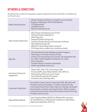#### NETWORKS & CONNECTIONS

The below provide a sample of the organizations, people and departments we have worked with in meaningful ways over the past 5 years:

| <b>Beedie School of Business</b>      | - E&I Area including contributions to integration social innovation<br>throughout, GEM program, BUS 238 development<br>- CCIE advisory board<br>- Grad/GDBA, Exec Ed<br>- Marcomm, Advancement, etc.                                                                                                                                                                                               |
|---------------------------------------|----------------------------------------------------------------------------------------------------------------------------------------------------------------------------------------------------------------------------------------------------------------------------------------------------------------------------------------------------------------------------------------------------|
| <b>Other Faculties/ Departments</b>   | - HSCI (Change Lab & Advising Surrey SI Strat)<br>- FCAT (exploring lab collaborations)<br>- ENV (Change Lab)<br>- Dialogue/CityStudio (Change Lab)<br>- Continuing Studies (advising Social Innovation Certificate)<br>- FASS (exploring Change Lab)<br>- MEd Arts for Social Change (advisor and guest)<br>- SFU Change Lab has students from virtually every faculty                            |
| Other SFU                             | - SFU International (Ecuador & Refugee Innovation Programs)<br>- Public Square Community Summits, C2U Expo<br>- SFU Van, SFU Surrey (Change Lab, SI Summit, City changemaker hub)<br>- Sust. Office, Student Engagement & Retention, TLC, Library<br>- Alumni Association<br>- Incubation (Venture Connection, VentureLabs)<br>- Student orgs (Embark, Enactus, etc)                               |
| Government funding and<br>engagements | - Federal <sup>7</sup> (IRCC, PHAC, ESDC, Policy Horizons, WD)<br>- Provincial (SDPR, Labour Market, WorkBC, SDSI, SDPR, etc.)<br>- Municipal (City of Vancouver, City of Surrey)<br>- Fraser Health (Change Lab), VEC (various)<br>- First Nations (Sto:lo, Alert Bay, other)                                                                                                                     |
| <b>Community/ Private Sector</b>      | Reconciliation Canada, Ecotrust Canada, Vancity, RBC, BDC, McConnell<br>Foundation, Vancouver Foundation, 312 Main, Surrey LIP, Burnaby<br>Community Services, Binners Project, Urban Core, Hastings Crossing BIA,<br>Vesta Properties, Scott Shaw, Social Capital Partners, MaRS, Innoweave,<br>Centre for Social Innovation, Shaw Communications, Vancity Community<br>Foundation and many more. |
| Regional/Global Networks              | Cities Changing Diabetes, RECODE (18 affiliated CDN universities),<br>SVI, Skoll World Forum, SOCAP, Ashoka U, Banff Forum, Balle Fellows,<br>Opportunity Collaboration, BCPSI, etc.                                                                                                                                                                                                               |

<sup>7</sup> In varying stages of development, or event based engagements.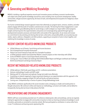## 4. Generating and Mobilizing Knowledge

RADIUS is building a significant expertise around social innovation process and theory, economic transformation, and subject and context specific knowledge around focus areas including inner city economic development, healthy communities, refugee economic opportunity, the future of work, and entrepreneurial ecosystems for Indigenous citizen entrepreneurs.

Our human-centered design research approach means that collectively our program teams, ventures, students, and other projects engage with thousands of Canadian customers/users annually. The learning from these engagements is used to iterate and reform groundbreaking ideas for social change, as well as deepen our impact within cohort programs. Insights and learning from this experimentation and practice are increasingly being captured through rigorous developmental evaluation processes and shared within and outside of the organization. As we renew and increase our commitment to documenting and sharing what we learn, what works, and possible pitfalls, we are producing case studies, reports, webinars, infographics and other products, supporting an ecosystem of actors to learn together, and mobilizing this knowledge in service of society.

#### RECENT CONTENT-RELATED KNOWLEDGE PRODUCTS

- LEDlab Pathways out of Poverty: Social Hiring and Income Assistance
- Sto:lo Entrepreneurial Ecosystem Assessment
- Potluck Case Social Enterprise Study with Trico Charitable Foundation
- 6 LEDlab graduate students have based their Master's research projects on their internships with LEDlab
- Ecotrust & RADIUS report on Social Impact Bonds and housing
- Coming soon: Future of Work Lab Challenge Brief & ReframeWork Report and Refugee Livelihood Lab Challenge Brief & Social Research and Design Outcomes Report

#### RECENT METHODOLOGY-RELATED KNOWLEDGE PRODUCTS

- LED lab webinars, Field Guide, quest blogs and 30 + conference presentations
- Ventures methodology, Ecuador and LEAP model
- Working with TLC to document and replicate Change Lab model more effectively
- A workshop on network mapping for impact assessment drawing on our experimentation with this approach in the RADIUS Fellowship, engaging multiple SFU staff and faculty, and external partners
- Coming soon: Entrepreneurship in Service of systems Change Methodology Guide

Lastly, RADIUS contributes significantly to the social innovation sector, emerging as a leader and trusted partner in thought and practice. We continue to refine and improve our methodology, curriculum and models, and we default to transparently sharing what we know to help advance the field. alumni,

#### PRESENTATIONS AND SPEAKING ENGAGEMENTS

RADIUS staff have conservatively presented over 25 conference related panels, talks and workshops, and we are regularly looking for opportunities to engage with communities of practice to share our learning and advance knowledge in social innovation, particularly as connected to university contexts. We have participated as contributors in various other forms in over 75 conferences and learning events representing SFU.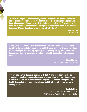**"RADIUS SFU programs like the undergraduate Change Lab, RADIUS Fellowship and Local Economic Development Lab represent some of the most impressive programs in the Changemaker Campus network, which is itself a collection of exemplars in the field. We're proud to work with SFU and impressed by the investment in RADIUS as a key part of SFU and Canada's changemaking infrastructure."** 

> **Marina Kim** Co-Founder - Ashoka U

**"RADIUS has been an important partner in building connections between SFU and the City of Surrey, including working to establish an exciting new Refugee Livelihood Lab for the region, contributing regularly to our growing Surrey Social Innovation Summit, and helping launch and grow Surrey's Health Change Lab undergraduate program."** 

> **Aileen Murphy** Senior Social Planner - City of Surrey

**"I'm grateful for the chance collaborate with RADIUS and open doors for Health Science undergraduate students interested in exploring social innovation and how it relates to health! We've done some amazing work together including building Health Change Lab in Surrey, and working with RADIUS has influenced my work broadly at SFU."** 

> **Paola Ardiles** Lecturer - Faculty of Health Sciences & Champion - SFU Social Innovation and Health